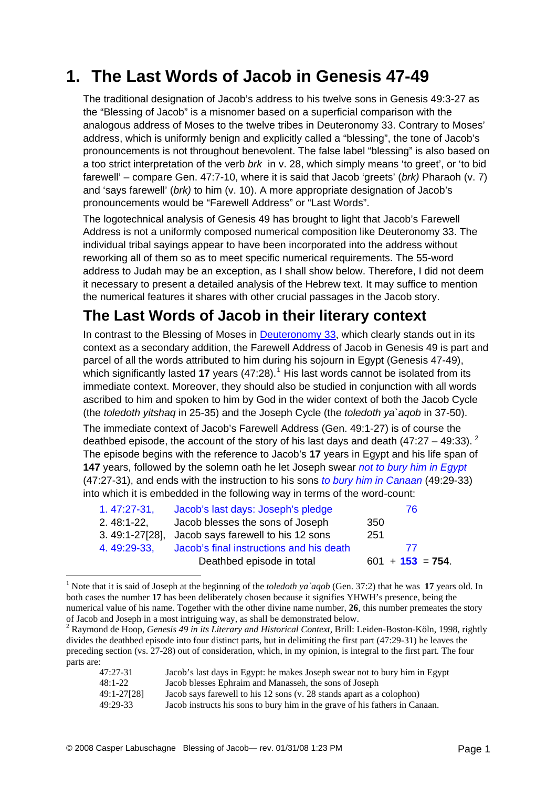## **1. The Last Words of Jacob in Genesis 47-49**

The traditional designation of Jacob's address to his twelve sons in Genesis 49:3-27 as the "Blessing of Jacob" is a misnomer based on a superficial comparison with the analogous address of Moses to the twelve tribes in Deuteronomy 33. Contrary to Moses' address, which is uniformly benign and explicitly called a "blessing", the tone of Jacob's pronouncements is not throughout benevolent. The false label "blessing" is also based on a too strict interpretation of the verb *brk* in v. 28, which simply means 'to greet', or 'to bid farewell' – compare Gen. 47:7-10, where it is said that Jacob 'greets' (*brk)* Pharaoh (v. 7) and 'says farewell' (*brk)* to him (v. 10). A more appropriate designation of Jacob's pronouncements would be "Farewell Address" or "Last Words".

The logotechnical analysis of Genesis 49 has brought to light that Jacob's Farewell Address is not a uniformly composed numerical composition like Deuteronomy 33. The individual tribal sayings appear to have been incorporated into the address without reworking all of them so as to meet specific numerical requirements. The 55-word address to Judah may be an exception, as I shall show below. Therefore, I did not deem it necessary to present a detailed analysis of the Hebrew text. It may suffice to mention the numerical features it shares with other crucial passages in the Jacob story.

## **The Last Words of Jacob in their literary context**

In contrast to the Blessing of Moses in [Deuteronomy 33](http://www.labuschagne.nl/2.deut33.pdf), which clearly stands out in its context as a secondary addition, the Farewell Address of Jacob in Genesis 49 is part and parcel of all the words attributed to him during his sojourn in Egypt (Genesis 47-49), which significantly lasted [1](#page-0-0)7 years (47:28).<sup>1</sup> His last words cannot be isolated from its immediate context. Moreover, they should also be studied in conjunction with all words ascribed to him and spoken to him by God in the wider context of both the Jacob Cycle (the *toledoth yitshaq* in 25-35) and the Joseph Cycle (the *toledoth ya`aqob* in 37-50).

The immediate context of Jacob's Farewell Address (Gen. 49:1-27) is of course the deathbed episode, the account of the story of his last days and death  $(47.27 - 49.33)$  $(47.27 - 49.33)$  $(47.27 - 49.33)$ . The episode begins with the reference to Jacob's **17** years in Egypt and his life span of **147** years, followed by the solemn oath he let Joseph swear *not to bury him in Egypt* (47:27-31), and ends with the instruction to his sons *to bury him in Canaan* (49:29-33) into which it is embedded in the following way in terms of the word-count:

| $1.47:27-31.$ | Jacob's last days: Joseph's pledge                | 76.                 |
|---------------|---------------------------------------------------|---------------------|
| $2.48:1-22,$  | Jacob blesses the sons of Joseph                  | 350                 |
|               | 3.49:1-27[28], Jacob says farewell to his 12 sons | 251                 |
| 4.49:29-33.   | Jacob's final instructions and his death          | -77                 |
|               | Deathbed episode in total                         | $601 + 153 = 754$ . |

<span id="page-0-0"></span><sup>&</sup>lt;sup>1</sup> Note that it is said of Joseph at the beginning of the *toledoth ya* agob (Gen. 37:2) that he was **17** years old. In both cases the number **17** has been deliberately chosen because it signifies YHWH's presence, being the numerical value of his name. Together with the other divine name number, **26**, this number premeates the story of Jacob and Joseph in a most intriguing way, as shall be demonstrated below.

<span id="page-0-1"></span><sup>2</sup> Raymond de Hoop, *Genesis 49 in its Literary and Historical Context,* Brill: Leiden-Boston-Köln, 1998, rightly divides the deathbed episode into four distinct parts, but in delimiting the first part (47:29-31) he leaves the preceding section (vs. 27-28) out of consideration, which, in my opinion, is integral to the first part. The four parts are:

| $47:27-31$  | Jacob's last days in Egypt: he makes Joseph swear not to bury him in Egypt  |
|-------------|-----------------------------------------------------------------------------|
| 48:1-22     | Jacob blesses Ephraim and Manasseh, the sons of Joseph                      |
| 49:1-27[28] | Jacob says farewell to his 12 sons (v. 28 stands apart as a colophon)       |
| 49:29-33    | Jacob instructs his sons to bury him in the grave of his fathers in Canaan. |

1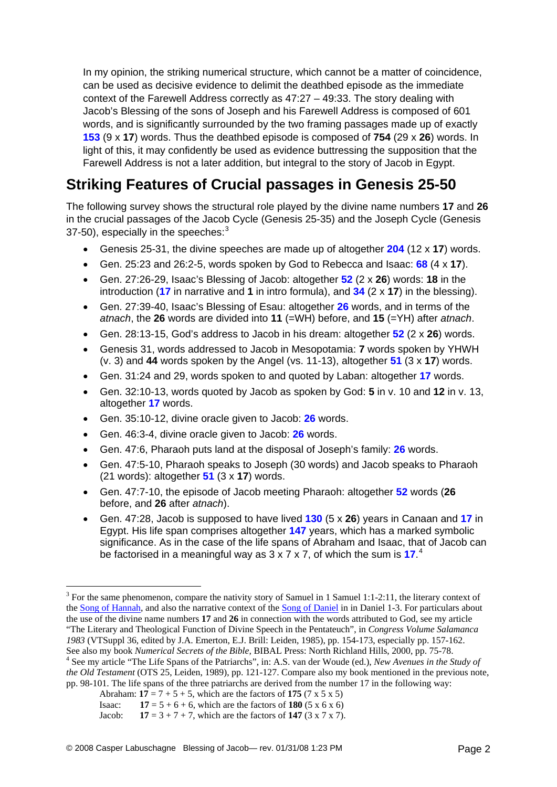In my opinion, the striking numerical structure, which cannot be a matter of coincidence, can be used as decisive evidence to delimit the deathbed episode as the immediate context of the Farewell Address correctly as 47:27 – 49:33. The story dealing with Jacob's Blessing of the sons of Joseph and his Farewell Address is composed of 601 words, and is significantly surrounded by the two framing passages made up of exactly **153** (9 x **17**) words. Thus the deathbed episode is composed of **754** (29 x **26**) words. In light of this, it may confidently be used as evidence buttressing the supposition that the Farewell Address is not a later addition, but integral to the story of Jacob in Egypt.

## **Striking Features of Crucial passages in Genesis 25-50**

The following survey shows the structural role played by the divine name numbers **17** and **26** in the crucial passages of the Jacob Cycle (Genesis 25-35) and the Joseph Cycle (Genesis [3](#page-1-0)7-50), especially in the speeches: $3$ 

- Genesis 25-31, the divine speeches are made up of altogether **204** (12 x **17**) words.
- Gen. 25:23 and 26:2-5, words spoken by God to Rebecca and Isaac: **68** (4 x **17**).
- Gen. 27:26-29, Isaac's Blessing of Jacob: altogether **52** (2 x **26**) words: **18** in the introduction (**17** in narrative and **1** in intro formula), and **34** (2 x **17**) in the blessing).
- Gen. 27:39-40, Isaac's Blessing of Esau: altogether **26** words, and in terms of the *atnach*, the **26** words are divided into **11** (=WH) before, and **15** (=YH) after *atnach*.
- Gen. 28:13-15, God's address to Jacob in his dream: altogether **52** (2 x **26**) words.
- Genesis 31, words addressed to Jacob in Mesopotamia: **7** words spoken by YHWH (v. 3) and **44** words spoken by the Angel (vs. 11-13), altogether **51** (3 x **17**) words.
- Gen. 31:24 and 29, words spoken to and quoted by Laban: altogether **17** words.
- Gen. 32:10-13, words quoted by Jacob as spoken by God: **5** in v. 10 and **12** in v. 13, altogether **17** words.
- Gen. 35:10-12, divine oracle given to Jacob: **26** words.
- Gen. 46:3-4, divine oracle given to Jacob: **26** words.
- Gen. 47:6, Pharaoh puts land at the disposal of Joseph's family: **26** words.
- Gen. 47:5-10, Pharaoh speaks to Joseph (30 words) and Jacob speaks to Pharaoh (21 words): altogether **51** (3 x **17**) words.
- Gen. 47:7-10, the episode of Jacob meeting Pharaoh: altogether **52** words (**26** before, and **26** after *atnach*).
- Gen. 47:28, Jacob is supposed to have lived **130** (5 x **26**) years in Canaan and **17** in Egypt. His life span comprises altogether **147** years, which has a marked symbolic significance. As in the case of the life spans of Abraham and Isaac, that of Jacob can be factorised in a meaningful way as 3 x 7 x 7, of which the sum is 17.<sup>[4](#page-1-1)</sup>

1

<span id="page-1-0"></span> $3$  For the same phenomenon, compare the nativity story of Samuel in 1 Samuel 1:1-2:11, the literary context of the [Song of Hannah,](http://www.labuschagne.nl/4.1sam2.pdf) and also the narrative context of the [Song of Daniel](http://www.labuschagne.nl/9.dan2.pdf) in in Daniel 1-3. For particulars about the use of the divine name numbers **17** and **26** in connection with the words attributed to God, see my article "The Literary and Theological Function of Divine Speech in the Pentateuch", in *Congress Volume Salamanca 1983* (VTSuppl 36, edited by J.A. Emerton, E.J. Brill: Leiden, 1985), pp. 154-173, especially pp. 157-162. See also my book *Numerical Secrets of the Bible,* BIBAL Press: North Richland Hills, 2000, pp. 75-78. 4

<span id="page-1-1"></span>See my article "The Life Spans of the Patriarchs", in: A.S. van der Woude (ed.), *New Avenues in the Study of the Old Testament* (OTS 25, Leiden, 1989), pp. 121-127. Compare also my book mentioned in the previous note, pp. 98-101. The life spans of the three patriarchs are derived from the number 17 in the following way:

Abraham:  $17 = 7 + 5 + 5$ , which are the factors of 175 (7 x 5 x 5)

Isaac: **17** =  $5 + 6 + 6$ , which are the factors of **180** (5 x 6 x 6)

Jacob: **17** =  $3 + 7 + 7$ , which are the factors of **147** ( $3 \times 7 \times 7$ ).